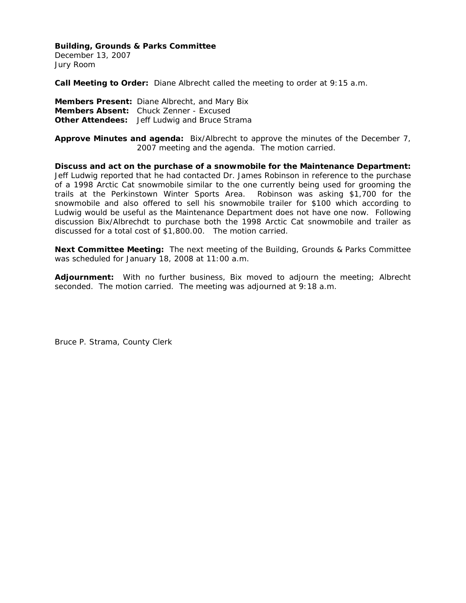December 13, 2007 Jury Room

**Call Meeting to Order:** Diane Albrecht called the meeting to order at 9:15 a.m.

**Members Present:** Diane Albrecht, and Mary Bix **Members Absent:** Chuck Zenner - Excused **Other Attendees:** Jeff Ludwig and Bruce Strama

**Approve Minutes and agenda:** Bix/Albrecht to approve the minutes of the December 7, 2007 meeting and the agenda. The motion carried.

**Discuss and act on the purchase of a snowmobile for the Maintenance Department:**  Jeff Ludwig reported that he had contacted Dr. James Robinson in reference to the purchase of a 1998 Arctic Cat snowmobile similar to the one currently being used for grooming the trails at the Perkinstown Winter Sports Area. Robinson was asking \$1,700 for the snowmobile and also offered to sell his snowmobile trailer for \$100 which according to Ludwig would be useful as the Maintenance Department does not have one now. Following discussion Bix/Albrechdt to purchase both the 1998 Arctic Cat snowmobile and trailer as discussed for a total cost of \$1,800.00. The motion carried.

**Next Committee Meeting:** The next meeting of the Building, Grounds & Parks Committee was scheduled for January 18, 2008 at 11:00 a.m.

**Adjournment:** With no further business, Bix moved to adjourn the meeting; Albrecht seconded. The motion carried. The meeting was adjourned at 9:18 a.m.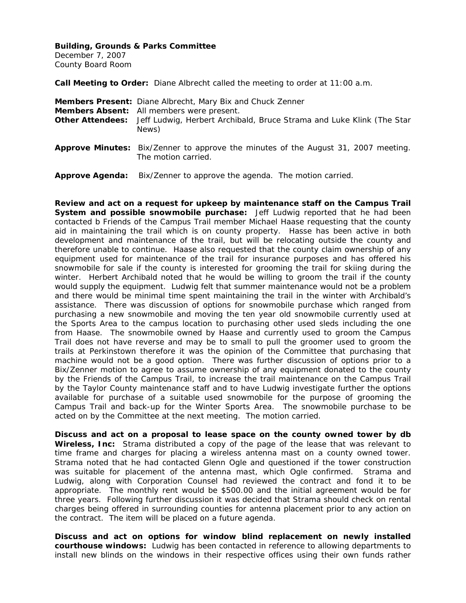December 7, 2007 County Board Room

**Call Meeting to Order:** Diane Albrecht called the meeting to order at 11:00 a.m.

| Members Present: Diane Albrecht, Mary Bix and Chuck Zenner<br>Members Absent: All members were present.<br><b>Other Attendees:</b> Jeff Ludwig, Herbert Archibald, Bruce Strama and Luke Klink (The Star<br>News) |
|-------------------------------------------------------------------------------------------------------------------------------------------------------------------------------------------------------------------|
| <b>Approve Minutes:</b> Bix/Zenner to approve the minutes of the August 31, 2007 meeting.<br>The motion carried.                                                                                                  |
| Approve Agenda: Bix/Zenner to approve the agenda. The motion carried.                                                                                                                                             |

**Review and act on a request for upkeep by maintenance staff on the Campus Trail System and possible snowmobile purchase:** Jeff Ludwig reported that he had been contacted b Friends of the Campus Trail member Michael Haase requesting that the county aid in maintaining the trail which is on county property. Hasse has been active in both development and maintenance of the trail, but will be relocating outside the county and therefore unable to continue. Haase also requested that the county claim ownership of any equipment used for maintenance of the trail for insurance purposes and has offered his snowmobile for sale if the county is interested for grooming the trail for skiing during the winter. Herbert Archibald noted that he would be willing to groom the trail if the county would supply the equipment. Ludwig felt that summer maintenance would not be a problem and there would be minimal time spent maintaining the trail in the winter with Archibald's assistance. There was discussion of options for snowmobile purchase which ranged from purchasing a new snowmobile and moving the ten year old snowmobile currently used at the Sports Area to the campus location to purchasing other used sleds including the one from Haase. The snowmobile owned by Haase and currently used to groom the Campus Trail does not have reverse and may be to small to pull the groomer used to groom the trails at Perkinstown therefore it was the opinion of the Committee that purchasing that machine would not be a good option. There was further discussion of options prior to a Bix/Zenner motion to agree to assume ownership of any equipment donated to the county by the Friends of the Campus Trail, to increase the trail maintenance on the Campus Trail by the Taylor County maintenance staff and to have Ludwig investigate further the options available for purchase of a suitable used snowmobile for the purpose of grooming the Campus Trail and back-up for the Winter Sports Area. The snowmobile purchase to be acted on by the Committee at the next meeting. The motion carried.

**Discuss and act on a proposal to lease space on the county owned tower by db Wireless, Inc:** Strama distributed a copy of the page of the lease that was relevant to time frame and charges for placing a wireless antenna mast on a county owned tower. Strama noted that he had contacted Glenn Ogle and questioned if the tower construction was suitable for placement of the antenna mast, which Ogle confirmed. Strama and Ludwig, along with Corporation Counsel had reviewed the contract and fond it to be appropriate. The monthly rent would be \$500.00 and the initial agreement would be for three years. Following further discussion it was decided that Strama should check on rental charges being offered in surrounding counties for antenna placement prior to any action on the contract. The item will be placed on a future agenda.

**Discuss and act on options for window blind replacement on newly installed courthouse windows:** Ludwig has been contacted in reference to allowing departments to install new blinds on the windows in their respective offices using their own funds rather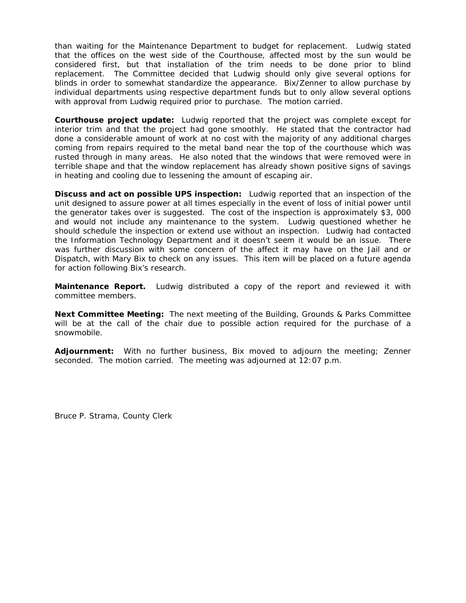than waiting for the Maintenance Department to budget for replacement. Ludwig stated that the offices on the west side of the Courthouse, affected most by the sun would be considered first, but that installation of the trim needs to be done prior to blind replacement. The Committee decided that Ludwig should only give several options for blinds in order to somewhat standardize the appearance. Bix/Zenner to allow purchase by individual departments using respective department funds but to only allow several options with approval from Ludwig required prior to purchase. The motion carried.

**Courthouse project update:** Ludwig reported that the project was complete except for interior trim and that the project had gone smoothly. He stated that the contractor had done a considerable amount of work at no cost with the majority of any additional charges coming from repairs required to the metal band near the top of the courthouse which was rusted through in many areas. He also noted that the windows that were removed were in terrible shape and that the window replacement has already shown positive signs of savings in heating and cooling due to lessening the amount of escaping air.

**Discuss and act on possible UPS inspection:** Ludwig reported that an inspection of the unit designed to assure power at all times especially in the event of loss of initial power until the generator takes over is suggested. The cost of the inspection is approximately \$3, 000 and would not include any maintenance to the system. Ludwig questioned whether he should schedule the inspection or extend use without an inspection. Ludwig had contacted the Information Technology Department and it doesn't seem it would be an issue. There was further discussion with some concern of the affect it may have on the Jail and or Dispatch, with Mary Bix to check on any issues. This item will be placed on a future agenda for action following Bix's research.

**Maintenance Report.** Ludwig distributed a copy of the report and reviewed it with committee members.

**Next Committee Meeting:** The next meeting of the Building, Grounds & Parks Committee will be at the call of the chair due to possible action required for the purchase of a snowmobile.

**Adjournment:** With no further business, Bix moved to adjourn the meeting; Zenner seconded. The motion carried. The meeting was adjourned at 12:07 p.m.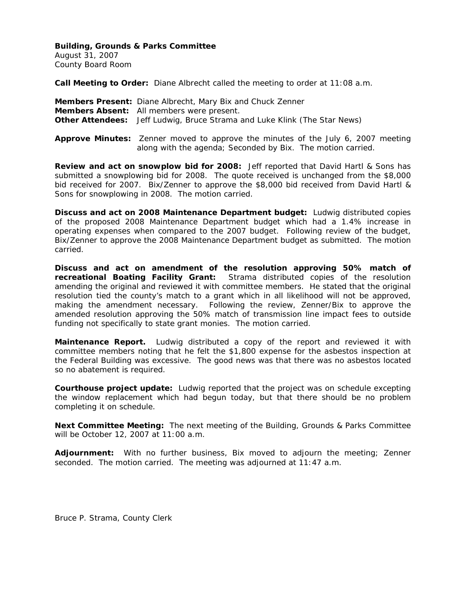August 31, 2007 County Board Room

**Call Meeting to Order:** Diane Albrecht called the meeting to order at 11:08 a.m.

| Members Present: Diane Albrecht, Mary Bix and Chuck Zenner                                                                                             |
|--------------------------------------------------------------------------------------------------------------------------------------------------------|
| Members Absent: All members were present.                                                                                                              |
| <b>Other Attendees:</b> Jeff Ludwig, Bruce Strama and Luke Klink (The Star News)                                                                       |
| <b>Approve Minutes:</b> Zenner moved to approve the minutes of the July 6, 2007 meeting<br>along with the agenda; Seconded by Bix. The motion carried. |

**Review and act on snowplow bid for 2008:** Jeff reported that David Hartl & Sons has submitted a snowplowing bid for 2008. The quote received is unchanged from the \$8,000 bid received for 2007. Bix/Zenner to approve the \$8,000 bid received from David Hartl & Sons for snowplowing in 2008. The motion carried.

**Discuss and act on 2008 Maintenance Department budget:** Ludwig distributed copies of the proposed 2008 Maintenance Department budget which had a 1.4% increase in operating expenses when compared to the 2007 budget. Following review of the budget, Bix/Zenner to approve the 2008 Maintenance Department budget as submitted. The motion carried.

**Discuss and act on amendment of the resolution approving 50% match of recreational Boating Facility Grant:** Strama distributed copies of the resolution amending the original and reviewed it with committee members. He stated that the original resolution tied the county's match to a grant which in all likelihood will not be approved, making the amendment necessary. Following the review, Zenner/Bix to approve the amended resolution approving the 50% match of transmission line impact fees to outside funding not specifically to state grant monies. The motion carried.

**Maintenance Report.** Ludwig distributed a copy of the report and reviewed it with committee members noting that he felt the \$1,800 expense for the asbestos inspection at the Federal Building was excessive. The good news was that there was no asbestos located so no abatement is required.

**Courthouse project update:** Ludwig reported that the project was on schedule excepting the window replacement which had begun today, but that there should be no problem completing it on schedule.

**Next Committee Meeting:** The next meeting of the Building, Grounds & Parks Committee will be October 12, 2007 at 11:00 a.m.

**Adjournment:** With no further business, Bix moved to adjourn the meeting; Zenner seconded. The motion carried. The meeting was adjourned at 11:47 a.m.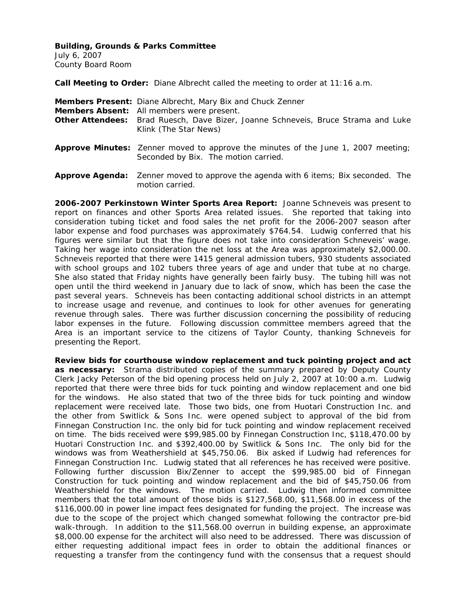July 6, 2007 County Board Room

**Call Meeting to Order:** Diane Albrecht called the meeting to order at 11:16 a.m.

| Members Present: Diane Albrecht, Mary Bix and Chuck Zenner<br>Members Absent: All members were present.<br>Other Attendees: Brad Ruesch, Dave Bizer, Joanne Schneveis, Bruce Strama and Luke<br>Klink (The Star News) |
|-----------------------------------------------------------------------------------------------------------------------------------------------------------------------------------------------------------------------|
| <b>Approve Minutes:</b> Zenner moved to approve the minutes of the June 1, 2007 meeting;<br>Seconded by Bix. The motion carried.                                                                                      |
| <b>Approve Agenda:</b> Zenner moved to approve the agenda with 6 items; Bix seconded. The<br>motion carried.                                                                                                          |

**2006-2007 Perkinstown Winter Sports Area Report:** Joanne Schneveis was present to report on finances and other Sports Area related issues. She reported that taking into consideration tubing ticket and food sales the net profit for the 2006-2007 season after labor expense and food purchases was approximately \$764.54. Ludwig conferred that his figures were similar but that the figure does not take into consideration Schneveis' wage. Taking her wage into consideration the net loss at the Area was approximately \$2,000.00. Schneveis reported that there were 1415 general admission tubers, 930 students associated with school groups and 102 tubers three years of age and under that tube at no charge. She also stated that Friday nights have generally been fairly busy. The tubing hill was not open until the third weekend in January due to lack of snow, which has been the case the past several years. Schneveis has been contacting additional school districts in an attempt to increase usage and revenue, and continues to look for other avenues for generating revenue through sales. There was further discussion concerning the possibility of reducing labor expenses in the future. Following discussion committee members agreed that the Area is an important service to the citizens of Taylor County, thanking Schneveis for presenting the Report.

**Review bids for courthouse window replacement and tuck pointing project and act as necessary:** Strama distributed copies of the summary prepared by Deputy County Clerk Jacky Peterson of the bid opening process held on July 2, 2007 at 10:00 a.m. Ludwig reported that there were three bids for tuck pointing and window replacement and one bid for the windows. He also stated that two of the three bids for tuck pointing and window replacement were received late. Those two bids, one from Huotari Construction Inc. and the other from Switlick & Sons Inc. were opened subject to approval of the bid from Finnegan Construction Inc. the only bid for tuck pointing and window replacement received on time. The bids received were \$99,985.00 by Finnegan Construction Inc, \$118,470.00 by Huotari Construction Inc. and \$392,400.00 by Switlick & Sons Inc. The only bid for the windows was from Weathershield at \$45,750.06. Bix asked if Ludwig had references for Finnegan Construction Inc. Ludwig stated that all references he has received were positive. Following further discussion Bix/Zenner to accept the \$99,985.00 bid of Finnegan Construction for tuck pointing and window replacement and the bid of \$45,750.06 from Weathershield for the windows. The motion carried. Ludwig then informed committee members that the total amount of those bids is \$127,568.00, \$11,568.00 in excess of the \$116,000.00 in power line impact fees designated for funding the project. The increase was due to the scope of the project which changed somewhat following the contractor pre-bid walk-through. In addition to the \$11,568.00 overrun in building expense, an approximate \$8,000.00 expense for the architect will also need to be addressed. There was discussion of either requesting additional impact fees in order to obtain the additional finances or requesting a transfer from the contingency fund with the consensus that a request should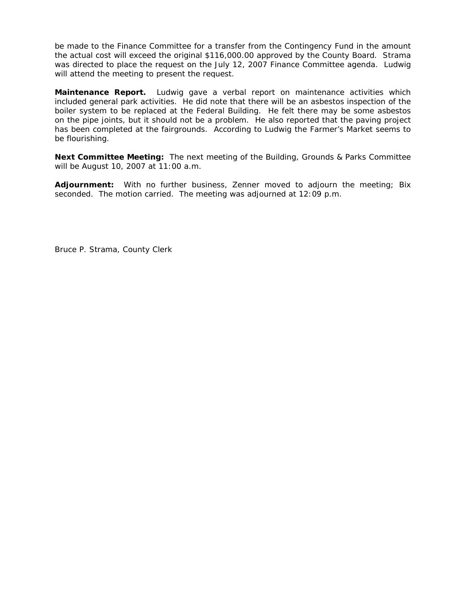be made to the Finance Committee for a transfer from the Contingency Fund in the amount the actual cost will exceed the original \$116,000.00 approved by the County Board. Strama was directed to place the request on the July 12, 2007 Finance Committee agenda. Ludwig will attend the meeting to present the request.

**Maintenance Report.** Ludwig gave a verbal report on maintenance activities which included general park activities. He did note that there will be an asbestos inspection of the boiler system to be replaced at the Federal Building. He felt there may be some asbestos on the pipe joints, but it should not be a problem. He also reported that the paving project has been completed at the fairgrounds. According to Ludwig the Farmer's Market seems to be flourishing.

**Next Committee Meeting:** The next meeting of the Building, Grounds & Parks Committee will be August 10, 2007 at 11:00 a.m.

**Adjournment:** With no further business, Zenner moved to adjourn the meeting; Bix seconded. The motion carried. The meeting was adjourned at 12:09 p.m.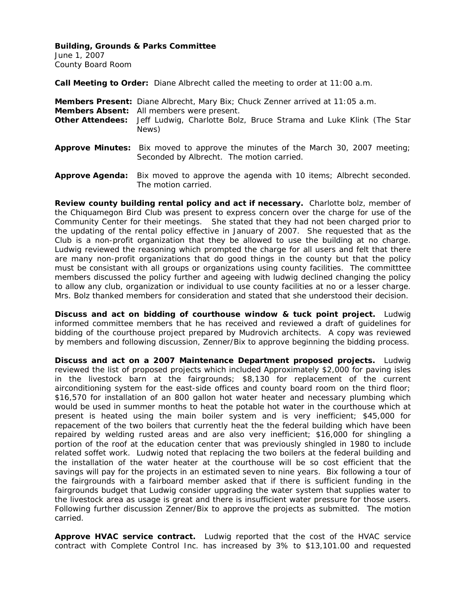June 1, 2007 County Board Room

**Call Meeting to Order:** Diane Albrecht called the meeting to order at 11:00 a.m.

The motion carried.

| Members Present: Diane Albrecht, Mary Bix; Chuck Zenner arrived at 11:05 a.m.<br><b>Members Absent:</b> All members were present.<br><b>Other Attendees:</b> Jeff Ludwig, Charlotte Bolz, Bruce Strama and Luke Klink (The Star<br>News) |
|------------------------------------------------------------------------------------------------------------------------------------------------------------------------------------------------------------------------------------------|
| <b>Approve Minutes:</b> Bix moved to approve the minutes of the March 30, 2007 meeting;<br>Seconded by Albrecht. The motion carried.                                                                                                     |
| <b>Approve Agenda:</b> Bix moved to approve the agenda with 10 items; Albrecht seconded.                                                                                                                                                 |

**Review county building rental policy and act if necessary.** Charlotte bolz, member of the Chiquamegon Bird Club was present to express concern over the charge for use of the Community Center for their meetings. She stated that they had not been charged prior to the updating of the rental policy effective in January of 2007. She requested that as the Club is a non-profit organization that they be allowed to use the building at no charge. Ludwig reviewed the reasoning which prompted the charge for all users and felt that there are many non-profit organizations that do good things in the county but that the policy must be consistant with all groups or organizations using county facilities. The committtee members discussed the policy further and ageeing with ludwig declined changing the policy to allow any club, organization or individual to use county facilities at no or a lesser charge. Mrs. Bolz thanked members for consideration and stated that she understood their decision.

**Discuss and act on bidding of courthouse window & tuck point project.** Ludwig informed committee members that he has received and reviewed a draft of guidelines for bidding of the courthouse project prepared by Mudrovich architects. A copy was reviewed by members and following discussion, Zenner/Bix to approve beginning the bidding process.

**Discuss and act on a 2007 Maintenance Department proposed projects.** Ludwig reviewed the list of proposed projects which included Approximately \$2,000 for paving isles in the livestock barn at the fairgrounds; \$8,130 for replacement of the current airconditioning system for the east-side offices and county board room on the third floor; \$16,570 for installation of an 800 gallon hot water heater and necessary plumbing which would be used in summer months to heat the potable hot water in the courthouse which at present is heated using the main boiler system and is very inefficient; \$45,000 for repacement of the two boilers that currently heat the the federal building which have been repaired by welding rusted areas and are also very inefficient; \$16,000 for shingling a portion of the roof at the education center that was previously shingled in 1980 to include related soffet work. Ludwig noted that replacing the two boilers at the federal building and the installation of the water heater at the courthouse will be so cost efficient that the savings will pay for the projects in an estimated seven to nine years. Bix following a tour of the fairgrounds with a fairboard member asked that if there is sufficient funding in the fairgrounds budget that Ludwig consider upgrading the water system that supplies water to the livestock area as usage is great and there is insufficient water pressure for those users. Following further discussion Zenner/Bix to approve the projects as submitted. The motion carried.

**Approve HVAC service contract.** Ludwig reported that the cost of the HVAC service contract with Complete Control Inc. has increased by 3% to \$13,101.00 and requested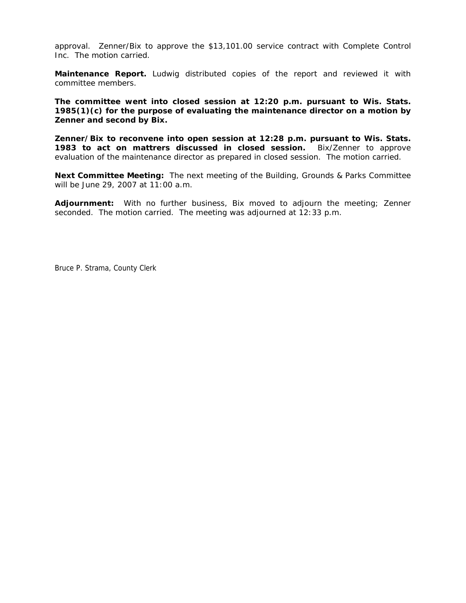approval. Zenner/Bix to approve the \$13,101.00 service contract with Complete Control Inc. The motion carried.

**Maintenance Report.** Ludwig distributed copies of the report and reviewed it with committee members.

**The committee went into closed session at 12:20 p.m. pursuant to Wis. Stats. 1985(1)(c) for the purpose of evaluating the maintenance director on a motion by Zenner and second by Bix.** 

**Zenner/Bix to reconvene into open session at 12:28 p.m. pursuant to Wis. Stats. 1983 to act on mattrers discussed in closed session.** Bix/Zenner to approve evaluation of the maintenance director as prepared in closed session. The motion carried.

**Next Committee Meeting:** The next meeting of the Building, Grounds & Parks Committee will be June 29, 2007 at 11:00 a.m.

**Adjournment:** With no further business, Bix moved to adjourn the meeting; Zenner seconded. The motion carried. The meeting was adjourned at 12:33 p.m.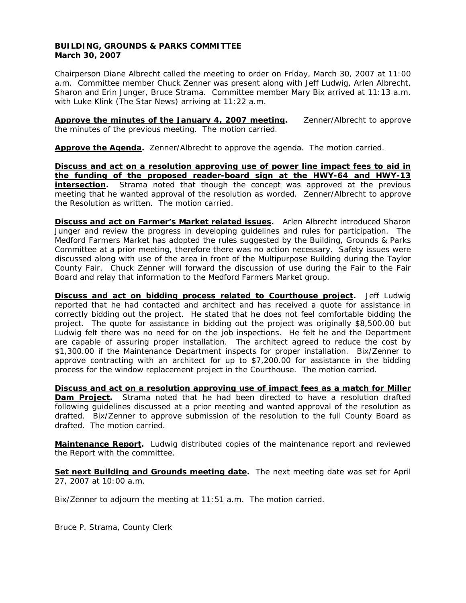# **BUILDING, GROUNDS & PARKS COMMITTEE March 30, 2007**

Chairperson Diane Albrecht called the meeting to order on Friday, March 30, 2007 at 11:00 a.m. Committee member Chuck Zenner was present along with Jeff Ludwig, Arlen Albrecht, Sharon and Erin Junger, Bruce Strama. Committee member Mary Bix arrived at 11:13 a.m. with Luke Klink (The Star News) arriving at 11:22 a.m.

**Approve the minutes of the January 4, 2007 meeting.** Zenner/Albrecht to approve the minutes of the previous meeting. The motion carried.

**Approve the Agenda.** Zenner/Albrecht to approve the agenda. The motion carried.

**Discuss and act on a resolution approving use of power line impact fees to aid in the funding of the proposed reader-board sign at the HWY-64 and HWY-13 intersection**. Strama noted that though the concept was approved at the previous meeting that he wanted approval of the resolution as worded. Zenner/Albrecht to approve the Resolution as written. The motion carried.

**Discuss and act on Farmer's Market related issues.** Arlen Albrecht introduced Sharon Junger and review the progress in developing guidelines and rules for participation. The Medford Farmers Market has adopted the rules suggested by the Building, Grounds & Parks Committee at a prior meeting, therefore there was no action necessary. Safety issues were discussed along with use of the area in front of the Multipurpose Building during the Taylor County Fair. Chuck Zenner will forward the discussion of use during the Fair to the Fair Board and relay that information to the Medford Farmers Market group.

**Discuss and act on bidding process related to Courthouse project.** Jeff Ludwig reported that he had contacted and architect and has received a quote for assistance in correctly bidding out the project. He stated that he does not feel comfortable bidding the project. The quote for assistance in bidding out the project was originally \$8,500.00 but Ludwig felt there was no need for on the job inspections. He felt he and the Department are capable of assuring proper installation. The architect agreed to reduce the cost by \$1,300.00 if the Maintenance Department inspects for proper installation. Bix/Zenner to approve contracting with an architect for up to \$7,200.00 for assistance in the bidding process for the window replacement project in the Courthouse. The motion carried.

**Discuss and act on a resolution approving use of impact fees as a match for Miller Dam Project.** Strama noted that he had been directed to have a resolution drafted following guidelines discussed at a prior meeting and wanted approval of the resolution as drafted. Bix/Zenner to approve submission of the resolution to the full County Board as drafted. The motion carried.

**Maintenance Report.** Ludwig distributed copies of the maintenance report and reviewed the Report with the committee.

**Set next Building and Grounds meeting date.** The next meeting date was set for April 27, 2007 at 10:00 a.m.

Bix/Zenner to adjourn the meeting at 11:51 a.m. The motion carried.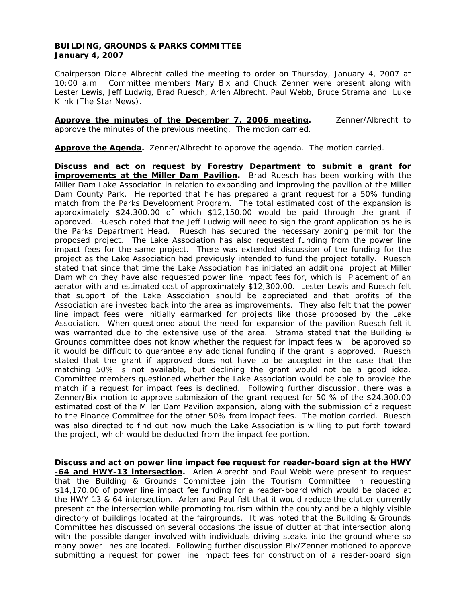# **BUILDING, GROUNDS & PARKS COMMITTEE January 4, 2007**

Chairperson Diane Albrecht called the meeting to order on Thursday, January 4, 2007 at 10:00 a.m. Committee members Mary Bix and Chuck Zenner were present along with Lester Lewis, Jeff Ludwig, Brad Ruesch, Arlen Albrecht, Paul Webb, Bruce Strama and Luke Klink (The Star News).

**Approve the minutes of the December 7, 2006 meeting.** Zenner/Albrecht to approve the minutes of the previous meeting. The motion carried.

**Approve the Agenda.** Zenner/Albrecht to approve the agenda. The motion carried.

**Discuss and act on request by Forestry Department to submit a grant for improvements at the Miller Dam Pavilion.** Brad Ruesch has been working with the Miller Dam Lake Association in relation to expanding and improving the pavilion at the Miller Dam County Park. He reported that he has prepared a grant request for a 50% funding match from the Parks Development Program. The total estimated cost of the expansion is approximately \$24,300.00 of which \$12,150.00 would be paid through the grant if approved. Ruesch noted that the Jeff Ludwig will need to sign the grant application as he is the Parks Department Head. Ruesch has secured the necessary zoning permit for the proposed project. The Lake Association has also requested funding from the power line impact fees for the same project. There was extended discussion of the funding for the project as the Lake Association had previously intended to fund the project totally. Ruesch stated that since that time the Lake Association has initiated an additional project at Miller Dam which they have also requested power line impact fees for, which is Placement of an aerator with and estimated cost of approximately \$12,300.00. Lester Lewis and Ruesch felt that support of the Lake Association should be appreciated and that profits of the Association are invested back into the area as improvements. They also felt that the power line impact fees were initially earmarked for projects like those proposed by the Lake Association. When questioned about the need for expansion of the pavilion Ruesch felt it was warranted due to the extensive use of the area. Strama stated that the Building & Grounds committee does not know whether the request for impact fees will be approved so it would be difficult to guarantee any additional funding if the grant is approved. Ruesch stated that the grant if approved does not have to be accepted in the case that the matching 50% is not available, but declining the grant would not be a good idea. Committee members questioned whether the Lake Association would be able to provide the match if a request for impact fees is declined. Following further discussion, there was a Zenner/Bix motion to approve submission of the grant request for 50 % of the \$24,300.00 estimated cost of the Miller Dam Pavilion expansion, along with the submission of a request to the Finance Committee for the other 50% from impact fees. The motion carried. Ruesch was also directed to find out how much the Lake Association is willing to put forth toward the project, which would be deducted from the impact fee portion.

**Discuss and act on power line impact fee request for reader-board sign at the HWY -64 and HWY-13 intersection.** Arlen Albrecht and Paul Webb were present to request that the Building & Grounds Committee join the Tourism Committee in requesting \$14,170.00 of power line impact fee funding for a reader-board which would be placed at the HWY-13 & 64 intersection. Arlen and Paul felt that it would reduce the clutter currently present at the intersection while promoting tourism within the county and be a highly visible directory of buildings located at the fairgrounds. It was noted that the Building & Grounds Committee has discussed on several occasions the issue of clutter at that intersection along with the possible danger involved with individuals driving steaks into the ground where so many power lines are located. Following further discussion Bix/Zenner motioned to approve submitting a request for power line impact fees for construction of a reader-board sign